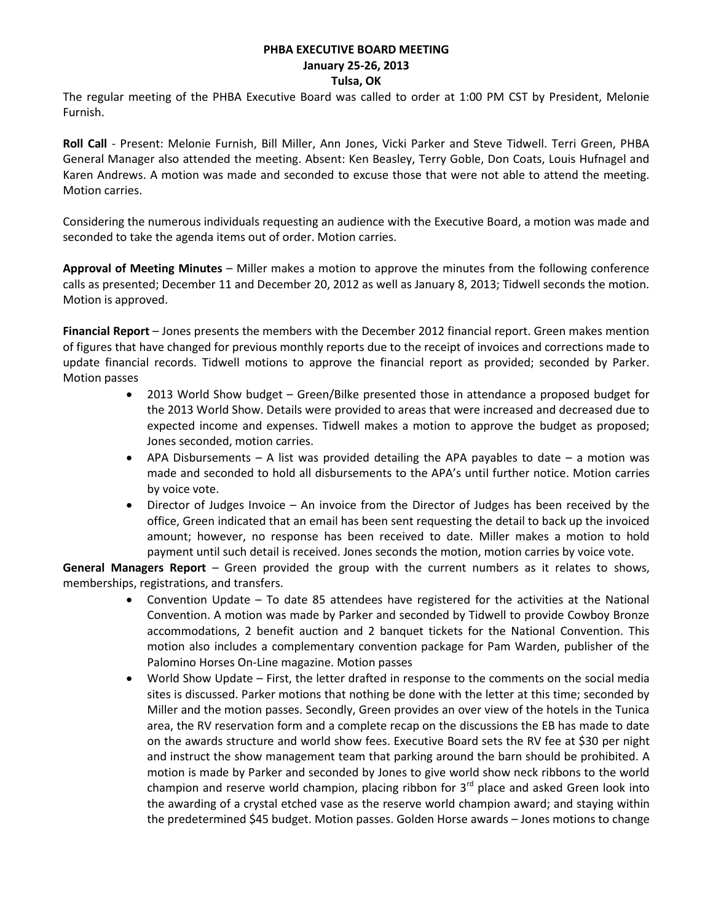# **PHBA EXECUTIVE BOARD MEETING January 25-26, 2013**

**Tulsa, OK**

The regular meeting of the PHBA Executive Board was called to order at 1:00 PM CST by President, Melonie Furnish.

**Roll Call** - Present: Melonie Furnish, Bill Miller, Ann Jones, Vicki Parker and Steve Tidwell. Terri Green, PHBA General Manager also attended the meeting. Absent: Ken Beasley, Terry Goble, Don Coats, Louis Hufnagel and Karen Andrews. A motion was made and seconded to excuse those that were not able to attend the meeting. Motion carries.

Considering the numerous individuals requesting an audience with the Executive Board, a motion was made and seconded to take the agenda items out of order. Motion carries.

**Approval of Meeting Minutes** – Miller makes a motion to approve the minutes from the following conference calls as presented; December 11 and December 20, 2012 as well as January 8, 2013; Tidwell seconds the motion. Motion is approved.

**Financial Report** – Jones presents the members with the December 2012 financial report. Green makes mention of figures that have changed for previous monthly reports due to the receipt of invoices and corrections made to update financial records. Tidwell motions to approve the financial report as provided; seconded by Parker. Motion passes

- 2013 World Show budget Green/Bilke presented those in attendance a proposed budget for the 2013 World Show. Details were provided to areas that were increased and decreased due to expected income and expenses. Tidwell makes a motion to approve the budget as proposed; Jones seconded, motion carries.
- APA Disbursements A list was provided detailing the APA payables to date a motion was made and seconded to hold all disbursements to the APA's until further notice. Motion carries by voice vote.
- Director of Judges Invoice An invoice from the Director of Judges has been received by the office, Green indicated that an email has been sent requesting the detail to back up the invoiced amount; however, no response has been received to date. Miller makes a motion to hold payment until such detail is received. Jones seconds the motion, motion carries by voice vote.

**General Managers Report** – Green provided the group with the current numbers as it relates to shows, memberships, registrations, and transfers.

- Convention Update To date 85 attendees have registered for the activities at the National Convention. A motion was made by Parker and seconded by Tidwell to provide Cowboy Bronze accommodations, 2 benefit auction and 2 banquet tickets for the National Convention. This motion also includes a complementary convention package for Pam Warden, publisher of the Palomino Horses On-Line magazine. Motion passes
- World Show Update First, the letter drafted in response to the comments on the social media sites is discussed. Parker motions that nothing be done with the letter at this time; seconded by Miller and the motion passes. Secondly, Green provides an over view of the hotels in the Tunica area, the RV reservation form and a complete recap on the discussions the EB has made to date on the awards structure and world show fees. Executive Board sets the RV fee at \$30 per night and instruct the show management team that parking around the barn should be prohibited. A motion is made by Parker and seconded by Jones to give world show neck ribbons to the world champion and reserve world champion, placing ribbon for  $3<sup>rd</sup>$  place and asked Green look into the awarding of a crystal etched vase as the reserve world champion award; and staying within the predetermined \$45 budget. Motion passes. Golden Horse awards – Jones motions to change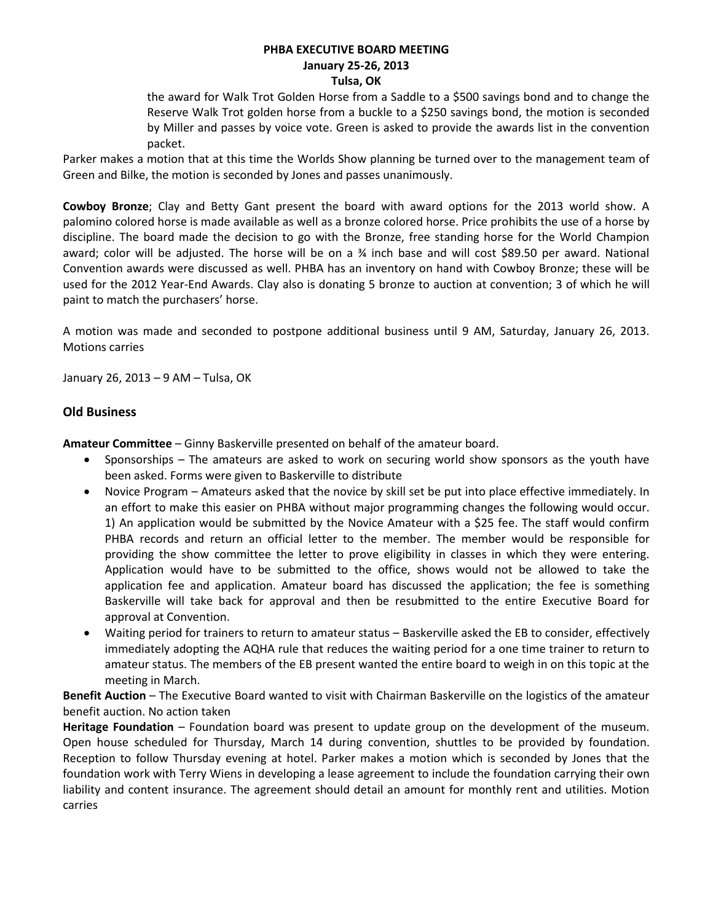#### **PHBA EXECUTIVE BOARD MEETING January 25-26, 2013 Tulsa, OK**

the award for Walk Trot Golden Horse from a Saddle to a \$500 savings bond and to change the Reserve Walk Trot golden horse from a buckle to a \$250 savings bond, the motion is seconded by Miller and passes by voice vote. Green is asked to provide the awards list in the convention packet.

Parker makes a motion that at this time the Worlds Show planning be turned over to the management team of Green and Bilke, the motion is seconded by Jones and passes unanimously.

**Cowboy Bronze**; Clay and Betty Gant present the board with award options for the 2013 world show. A palomino colored horse is made available as well as a bronze colored horse. Price prohibits the use of a horse by discipline. The board made the decision to go with the Bronze, free standing horse for the World Champion award; color will be adjusted. The horse will be on a ¾ inch base and will cost \$89.50 per award. National Convention awards were discussed as well. PHBA has an inventory on hand with Cowboy Bronze; these will be used for the 2012 Year-End Awards. Clay also is donating 5 bronze to auction at convention; 3 of which he will paint to match the purchasers' horse.

A motion was made and seconded to postpone additional business until 9 AM, Saturday, January 26, 2013. Motions carries

January 26, 2013 – 9 AM – Tulsa, OK

### **Old Business**

**Amateur Committee** – Ginny Baskerville presented on behalf of the amateur board.

- Sponsorships The amateurs are asked to work on securing world show sponsors as the youth have been asked. Forms were given to Baskerville to distribute
- Novice Program Amateurs asked that the novice by skill set be put into place effective immediately. In an effort to make this easier on PHBA without major programming changes the following would occur. 1) An application would be submitted by the Novice Amateur with a \$25 fee. The staff would confirm PHBA records and return an official letter to the member. The member would be responsible for providing the show committee the letter to prove eligibility in classes in which they were entering. Application would have to be submitted to the office, shows would not be allowed to take the application fee and application. Amateur board has discussed the application; the fee is something Baskerville will take back for approval and then be resubmitted to the entire Executive Board for approval at Convention.
- Waiting period for trainers to return to amateur status Baskerville asked the EB to consider, effectively immediately adopting the AQHA rule that reduces the waiting period for a one time trainer to return to amateur status. The members of the EB present wanted the entire board to weigh in on this topic at the meeting in March.

**Benefit Auction** – The Executive Board wanted to visit with Chairman Baskerville on the logistics of the amateur benefit auction. No action taken

**Heritage Foundation** – Foundation board was present to update group on the development of the museum. Open house scheduled for Thursday, March 14 during convention, shuttles to be provided by foundation. Reception to follow Thursday evening at hotel. Parker makes a motion which is seconded by Jones that the foundation work with Terry Wiens in developing a lease agreement to include the foundation carrying their own liability and content insurance. The agreement should detail an amount for monthly rent and utilities. Motion carries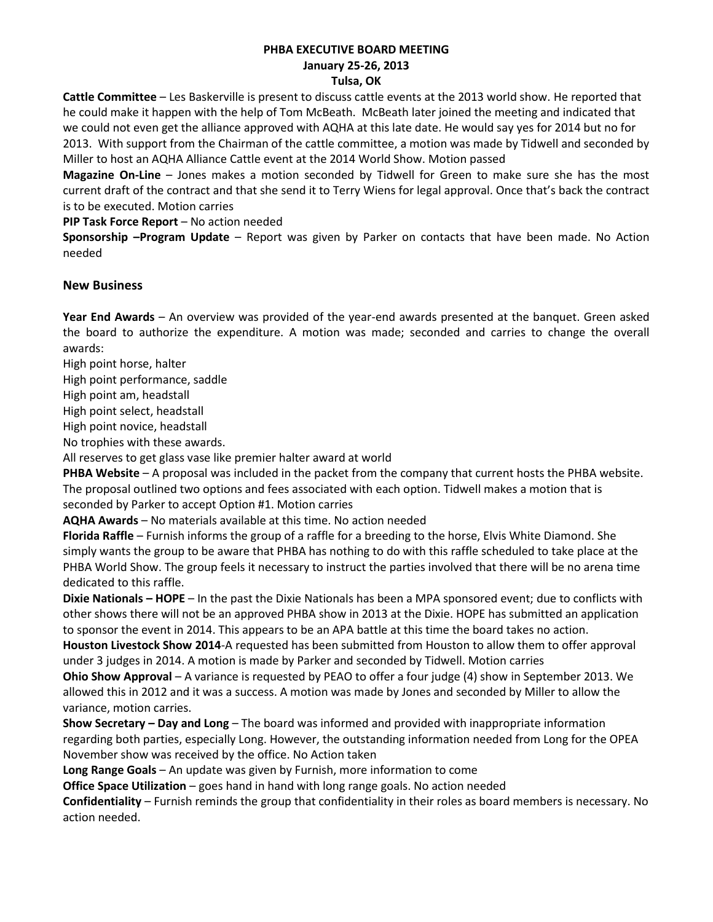#### **PHBA EXECUTIVE BOARD MEETING January 25-26, 2013 Tulsa, OK**

**Cattle Committee** – Les Baskerville is present to discuss cattle events at the 2013 world show. He reported that he could make it happen with the help of Tom McBeath. McBeath later joined the meeting and indicated that we could not even get the alliance approved with AQHA at this late date. He would say yes for 2014 but no for 2013. With support from the Chairman of the cattle committee, a motion was made by Tidwell and seconded by Miller to host an AQHA Alliance Cattle event at the 2014 World Show. Motion passed

**Magazine On-Line** – Jones makes a motion seconded by Tidwell for Green to make sure she has the most current draft of the contract and that she send it to Terry Wiens for legal approval. Once that's back the contract is to be executed. Motion carries

**PIP Task Force Report** – No action needed

**Sponsorship –Program Update** – Report was given by Parker on contacts that have been made. No Action needed

### **New Business**

**Year End Awards** – An overview was provided of the year-end awards presented at the banquet. Green asked the board to authorize the expenditure. A motion was made; seconded and carries to change the overall awards:

High point horse, halter

High point performance, saddle

High point am, headstall

High point select, headstall

High point novice, headstall

No trophies with these awards.

All reserves to get glass vase like premier halter award at world

**PHBA Website** – A proposal was included in the packet from the company that current hosts the PHBA website. The proposal outlined two options and fees associated with each option. Tidwell makes a motion that is seconded by Parker to accept Option #1. Motion carries

**AQHA Awards** – No materials available at this time. No action needed

**Florida Raffle** – Furnish informs the group of a raffle for a breeding to the horse, Elvis White Diamond. She simply wants the group to be aware that PHBA has nothing to do with this raffle scheduled to take place at the PHBA World Show. The group feels it necessary to instruct the parties involved that there will be no arena time dedicated to this raffle.

**Dixie Nationals – HOPE** – In the past the Dixie Nationals has been a MPA sponsored event; due to conflicts with other shows there will not be an approved PHBA show in 2013 at the Dixie. HOPE has submitted an application to sponsor the event in 2014. This appears to be an APA battle at this time the board takes no action.

**Houston Livestock Show 2014**-A requested has been submitted from Houston to allow them to offer approval under 3 judges in 2014. A motion is made by Parker and seconded by Tidwell. Motion carries

**Ohio Show Approval** – A variance is requested by PEAO to offer a four judge (4) show in September 2013. We allowed this in 2012 and it was a success. A motion was made by Jones and seconded by Miller to allow the variance, motion carries.

**Show Secretary – Day and Long** – The board was informed and provided with inappropriate information regarding both parties, especially Long. However, the outstanding information needed from Long for the OPEA November show was received by the office. No Action taken

**Long Range Goals** – An update was given by Furnish, more information to come

**Office Space Utilization** – goes hand in hand with long range goals. No action needed

**Confidentiality** – Furnish reminds the group that confidentiality in their roles as board members is necessary. No action needed.